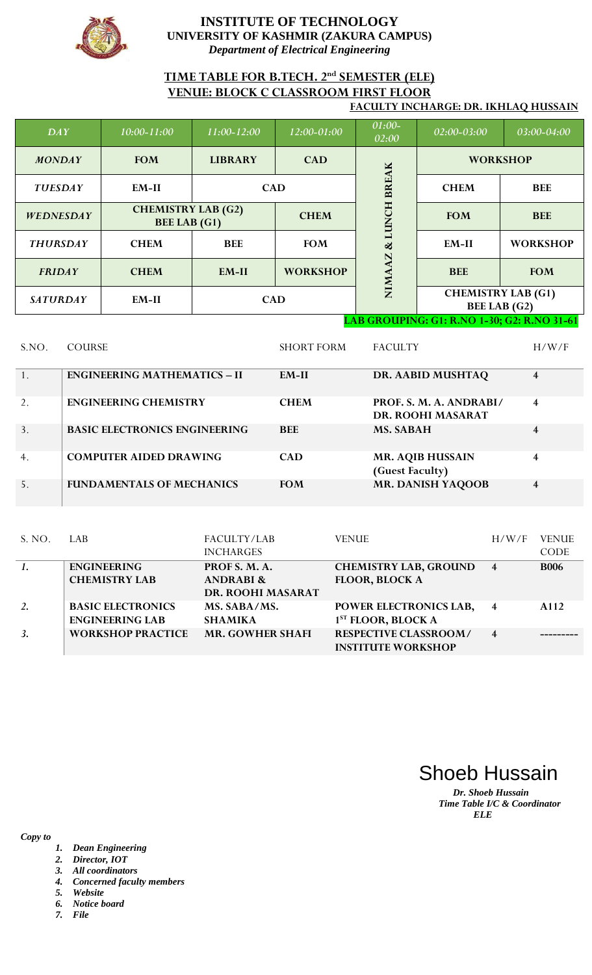

# **TIME TABLE FOR B.TECH. 2nd SEMESTER (ELE) VENUE: BLOCK C CLASSROOM FIRST FLOOR**

#### **FACULTY INCHARGE: DR. IKHLAQ HUSSAIN**

| DAY              | 10:00-11:00                                      | $11:00 - 12:00$ | 12:00-01:00     | 01:00-<br>02:00                            | $02:00-03:00$                                    | 03:00-04:00     |
|------------------|--------------------------------------------------|-----------------|-----------------|--------------------------------------------|--------------------------------------------------|-----------------|
| <b>MONDAY</b>    | <b>FOM</b>                                       | <b>LIBRARY</b>  | <b>CAD</b>      |                                            |                                                  | <b>WORKSHOP</b> |
| <b>TUESDAY</b>   | $EM-II$                                          | <b>CAD</b>      |                 | <b>BREAK</b>                               | <b>CHEM</b>                                      | <b>BEE</b>      |
| <b>WEDNESDAY</b> | <b>CHEMISTRY LAB (G2)</b><br><b>BEE LAB</b> (G1) | <b>CHEM</b>     |                 | HOM                                        | <b>FOM</b>                                       | <b>BEE</b>      |
| <b>THURSDAY</b>  | <b>CHEM</b>                                      | <b>BEE</b>      | <b>FOM</b>      | $\propto$<br>N                             | EM-II                                            | <b>WORKSHOP</b> |
| <b>FRIDAY</b>    | <b>CHEM</b>                                      | $EM-II$         | <b>WORKSHOP</b> | NIMA                                       | <b>BEE</b>                                       | <b>FOM</b>      |
| <b>SATURDAY</b>  | EM-II                                            | <b>CAD</b>      |                 | a component and component of the component | <b>CHEMISTRY LAB (G1)</b><br><b>BEE LAB</b> (G2) |                 |

**LAB GROUPING: G1: R.NO 1-30; G2: R.NO 31-61**

| S.NO. | <b>COURSE</b>                        | <b>SHORT FORM</b> | <b>FACULTY</b>                               | H/W/F                   |
|-------|--------------------------------------|-------------------|----------------------------------------------|-------------------------|
|       | <b>ENGINEERING MATHEMATICS - II</b>  | $EM-II$           | DR. AABID MUSHTAQ                            | $\overline{4}$          |
| 2.    | <b>ENGINEERING CHEMISTRY</b>         | <b>CHEM</b>       | PROF. S. M. A. ANDRABI/<br>DR. ROOHI MASARAT | $\overline{\mathbf{4}}$ |
| 3.    | <b>BASIC ELECTRONICS ENGINEERING</b> | <b>BEE</b>        | <b>MS. SABAH</b>                             | $\overline{4}$          |
| 4.    | <b>COMPUTER AIDED DRAWING</b>        | <b>CAD</b>        | <b>MR. AQIB HUSSAIN</b><br>(Guest Faculty)   | $\overline{4}$          |
| 5.    | <b>FUNDAMENTALS OF MECHANICS</b>     | <b>FOM</b>        | <b>MR. DANISH YAQOOB</b>                     | $\overline{4}$          |

| S. NO. | LAB                                                | FACULTY/LAB<br><b>INCHARGES</b>                            | <b>VENUE</b>                                              | H/W/F                   | <b>VENUE</b><br><b>CODE</b> |
|--------|----------------------------------------------------|------------------------------------------------------------|-----------------------------------------------------------|-------------------------|-----------------------------|
|        | <b>ENGINEERING</b><br><b>CHEMISTRY LAB</b>         | PROF S. M. A.<br><b>ANDRABI &amp;</b><br>DR. ROOHI MASARAT | <b>CHEMISTRY LAB, GROUND</b><br><b>FLOOR, BLOCK A</b>     | $\overline{4}$          | <b>B006</b>                 |
| 2.     | <b>BASIC ELECTRONICS</b><br><b>ENGINEERING LAB</b> | MS. SABA/MS.<br><b>SHAMIKA</b>                             | POWER ELECTRONICS LAB,<br>1 <sup>ST</sup> FLOOR, BLOCK A  | $\overline{4}$          | A112                        |
| 3.     | <b>WORKSHOP PRACTICE</b>                           | <b>MR. GOWHER SHAFI</b>                                    | <b>RESPECTIVE CLASSROOM/</b><br><b>INSTITUTE WORKSHOP</b> | $\overline{\mathbf{4}}$ |                             |

Shoeb Hussain

*Dr. Shoeb Hussain Time Table I/C & Coordinator ELE*

- *1. Dean Engineering*
- *2. Director, IOT*
- *3. All coordinators*
- *4. Concerned faculty members*
- *5. Website*
- *6. Notice board 7. File*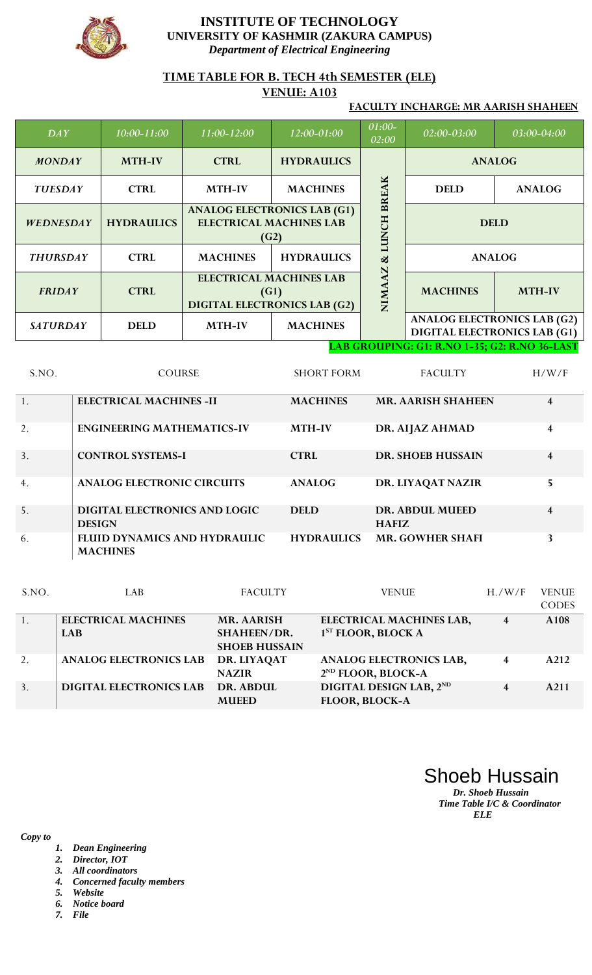

### **TIME TABLE FOR B. TECH 4th SEMESTER (ELE)**

## **VENUE: A103**

#### **FACULTY INCHARGE: MR AARISH SHAHEEN**

| DAY              | $10:00 - 11:00$   | 11:00-12:00                                                                   | 12:00-01:00       | 01:00-<br>02:00    | 02:00-03:00     | 03:00-04:00                                                               |
|------------------|-------------------|-------------------------------------------------------------------------------|-------------------|--------------------|-----------------|---------------------------------------------------------------------------|
| <b>MONDAY</b>    | <b>MTH-IV</b>     | <b>HYDRAULICS</b><br><b>CTRL</b>                                              |                   |                    | <b>ANALOG</b>   |                                                                           |
| <b>TUESDAY</b>   | <b>CTRL</b>       | <b>MACHINES</b><br><b>MTH-IV</b>                                              |                   |                    | <b>DELD</b>     | <b>ANALOG</b>                                                             |
| <b>WEDNESDAY</b> | <b>HYDRAULICS</b> | <b>ANALOG ELECTRONICS LAB (G1)</b><br><b>ELECTRICAL MACHINES LAB</b><br>(G2)  |                   | <b>LUNCH BREAK</b> |                 | <b>DELD</b>                                                               |
| <b>THURSDAY</b>  | <b>CTRL</b>       | <b>MACHINES</b>                                                               | <b>HYDRAULICS</b> |                    |                 | <b>ANALOG</b>                                                             |
| <b>FRIDAY</b>    | <b>CTRL</b>       | <b>ELECTRICAL MACHINES LAB</b><br>(G1)<br><b>DIGITAL ELECTRONICS LAB (G2)</b> |                   | AZ<br><b>NIMA</b>  | <b>MACHINES</b> | <b>MTH-IV</b>                                                             |
| <b>SATURDAY</b>  | <b>DELD</b>       | <b>MTH-IV</b><br><b>MACHINES</b>                                              |                   |                    |                 | <b>ANALOG ELECTRONICS LAB (G2)</b><br><b>DIGITAL ELECTRONICS LAB (G1)</b> |

#### **LAB GROUPING: G1: R.NO 1-35; G2: R.NO 36-LAST**

| S.NO. | <b>COURSE</b>                                         | <b>SHORT FORM</b> | <b>FACULTY</b>                         | H/W/F                   |
|-------|-------------------------------------------------------|-------------------|----------------------------------------|-------------------------|
| 1.    | <b>ELECTRICAL MACHINES -II</b>                        | <b>MACHINES</b>   | <b>MR. AARISH SHAHEEN</b>              | $\overline{\mathbf{4}}$ |
| 2.    | <b>ENGINEERING MATHEMATICS-IV</b>                     | <b>MTH-IV</b>     | DR. AIJAZ AHMAD                        | $\overline{\mathbf{4}}$ |
| 3.    | <b>CONTROL SYSTEMS-I</b>                              | <b>CTRL</b>       | <b>DR. SHOEB HUSSAIN</b>               | 4                       |
| 4.    | <b>ANALOG ELECTRONIC CIRCUITS</b>                     | <b>ANALOG</b>     | DR. LIYAQAT NAZIR                      | 5                       |
| 5.    | <b>DIGITAL ELECTRONICS AND LOGIC</b><br><b>DESIGN</b> | <b>DELD</b>       | <b>DR. ABDUL MUEED</b><br><b>HAFIZ</b> | $\overline{\mathbf{4}}$ |
| 6.    | FLUID DYNAMICS AND HYDRAULIC<br><b>MACHINES</b>       | <b>HYDRAULICS</b> | <b>MR. GOWHER SHAFI</b>                | $\mathbf{3}$            |

| S.NO. | LAB                            | <b>FACULTY</b>                             | <b>VENUE</b>                                                     | H. / W/F | <b>VENUE</b> |
|-------|--------------------------------|--------------------------------------------|------------------------------------------------------------------|----------|--------------|
|       |                                |                                            |                                                                  |          | <b>CODES</b> |
|       | <b>ELECTRICAL MACHINES</b>     | MR. AARISH                                 | ELECTRICAL MACHINES LAB,                                         | 4        | A108         |
|       | <b>LAB</b>                     | <b>SHAHEEN/DR.</b><br><b>SHOEB HUSSAIN</b> | 1 <sup>ST</sup> FLOOR, BLOCK A                                   |          |              |
| 2.    | <b>ANALOG ELECTRONICS LAB</b>  | DR. LIYAQAT<br><b>NAZIR</b>                | <b>ANALOG ELECTRONICS LAB,</b><br>2 <sup>ND</sup> FLOOR, BLOCK-A | 4        | A212         |
| 3.    | <b>DIGITAL ELECTRONICS LAB</b> | DR. ABDUL<br><b>MUEED</b>                  | DIGITAL DESIGN LAB, 2ND<br><b>FLOOR, BLOCK-A</b>                 | 4        | A211         |

Shoeb Hussain

*Dr. Shoeb Hussain Time Table I/C & Coordinator ELE*

- *1. Dean Engineering*
- *2. Director, IOT*
- *3. All coordinators*
- *4. Concerned faculty members*
- *5. Website*
- *6. Notice board*
- *7. File*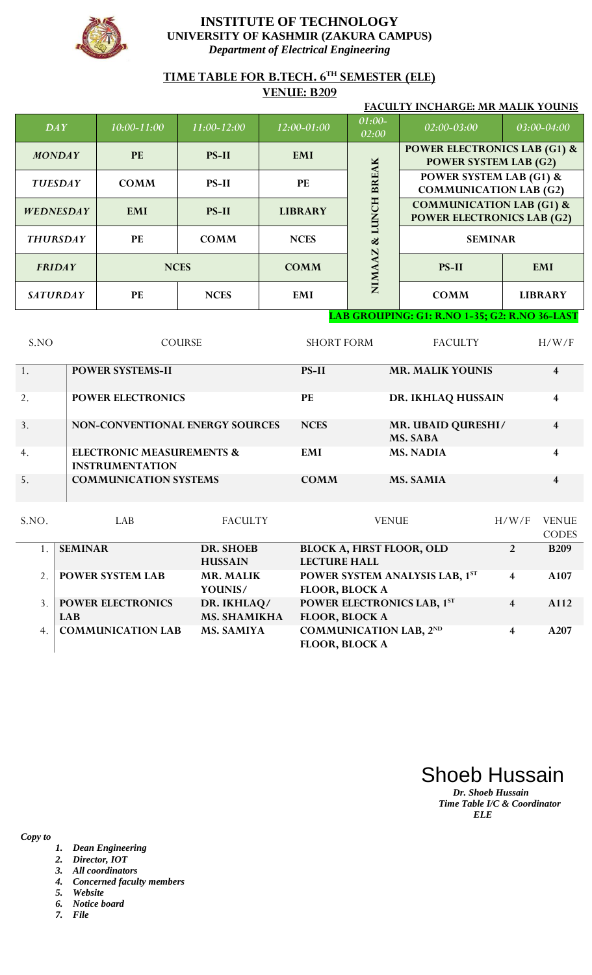

# **TIME TABLE FOR B.TECH. 6TH SEMESTER (ELE)**

### **VENUE: B209**

| <b>FACULTY INCHARGE: MR MALIK YOUNIS</b> |                 |              |                |                 |                                                                          |                |  |
|------------------------------------------|-----------------|--------------|----------------|-----------------|--------------------------------------------------------------------------|----------------|--|
| DAY                                      | $10:00 - 11:00$ | 11:00-12:00  | 12:00-01:00    | 01:00-<br>02:00 | 02:00-03:00                                                              | 03:00-04:00    |  |
| <b>MONDAY</b>                            | <b>PE</b>       | <b>PS-II</b> | <b>EMI</b>     |                 | <b>POWER ELECTRONICS LAB (G1) &amp;</b><br><b>POWER SYSTEM LAB (G2)</b>  |                |  |
| <b>TUESDAY</b>                           | <b>COMM</b>     | <b>PS-II</b> | <b>PE</b>      | <b>BREAK</b>    | <b>POWER SYSTEM LAB (G1) &amp;</b><br><b>COMMUNICATION LAB (G2)</b>      |                |  |
| <b>WEDNESDAY</b>                         | <b>EMI</b>      | <b>PS-II</b> | <b>LIBRARY</b> | Š               | <b>COMMUNICATION LAB (G1) &amp;</b><br><b>POWER ELECTRONICS LAB (G2)</b> |                |  |
| <b>THURSDAY</b>                          | <b>PE</b>       | <b>COMM</b>  | <b>NCES</b>    | ಹ               | <b>SEMINAR</b>                                                           |                |  |
| <b>FRIDAY</b>                            |                 | <b>NCES</b>  | <b>COMM</b>    | <b>NIMA</b>     | <b>PS-II</b>                                                             | <b>EMI</b>     |  |
| <b>SATURDAY</b>                          | <b>PE</b>       | <b>NCES</b>  | EMI            |                 | <b>COMM</b>                                                              | <b>LIBRARY</b> |  |

#### **LAB GROUPING: G1: R.NO 1-35; G2: R.NO 36-LAST**

| S.NO | <b>COURSE</b>                                                  | <b>SHORT FORM</b> | <b>FACULTY</b>                               | H/W/F |
|------|----------------------------------------------------------------|-------------------|----------------------------------------------|-------|
|      | <b>POWER SYSTEMS-II</b>                                        | <b>PS-II</b>      | <b>MR. MALIK YOUNIS</b>                      | 4     |
| 2.   | <b>POWER ELECTRONICS</b>                                       | PE                | DR. IKHLAQ HUSSAIN                           | 4     |
| 3.   | NON-CONVENTIONAL ENERGY SOURCES                                | <b>NCES</b>       | <b>MR. UBAID QURESHI/</b><br><b>MS. SABA</b> | 4     |
| 4.   | <b>ELECTRONIC MEASUREMENTS &amp;</b><br><b>INSTRUMENTATION</b> | EMI               | <b>MS. NADIA</b>                             | 4     |
| 5.   | <b>COMMUNICATION SYSTEMS</b>                                   | <b>COMM</b>       | <b>MS. SAMIA</b>                             |       |
|      |                                                                |                   |                                              |       |

| S.NO. | LAB                      | <b>FACULTY</b>      | <b>VENUE</b>                     | H/W/F          | <b>VENUE</b>     |
|-------|--------------------------|---------------------|----------------------------------|----------------|------------------|
|       |                          |                     |                                  |                | <b>CODES</b>     |
|       | <b>SEMINAR</b>           | DR. SHOEB           | <b>BLOCK A, FIRST FLOOR, OLD</b> | $\overline{2}$ | <b>B209</b>      |
|       |                          | <b>HUSSAIN</b>      | <b>LECTURE HALL</b>              |                |                  |
|       | <b>POWER SYSTEM LAB</b>  | <b>MR. MALIK</b>    | POWER SYSTEM ANALYSIS LAB, 1ST   | 4              | A <sub>107</sub> |
|       |                          | YOUNIS/             | <b>FLOOR, BLOCK A</b>            |                |                  |
|       | <b>POWER ELECTRONICS</b> | DR. IKHLAQ/         | POWER ELECTRONICS LAB, 1ST       | 4              | A112             |
|       | <b>LAB</b>               | <b>MS. SHAMIKHA</b> | <b>FLOOR, BLOCK A</b>            |                |                  |
| 4.    | <b>COMMUNICATION LAB</b> | <b>MS. SAMIYA</b>   | <b>COMMUNICATION LAB, 2ND</b>    | 4              | A207             |
|       |                          |                     | <b>FLOOR, BLOCK A</b>            |                |                  |

Shoeb Hussain

*Dr. Shoeb Hussain Time Table I/C & Coordinator ELE*

- *1. Dean Engineering*
- *2. Director, IOT*
- *3. All coordinators*
- *4. Concerned faculty members*
- *5. Website*
- *6. Notice board*
- *7. File*